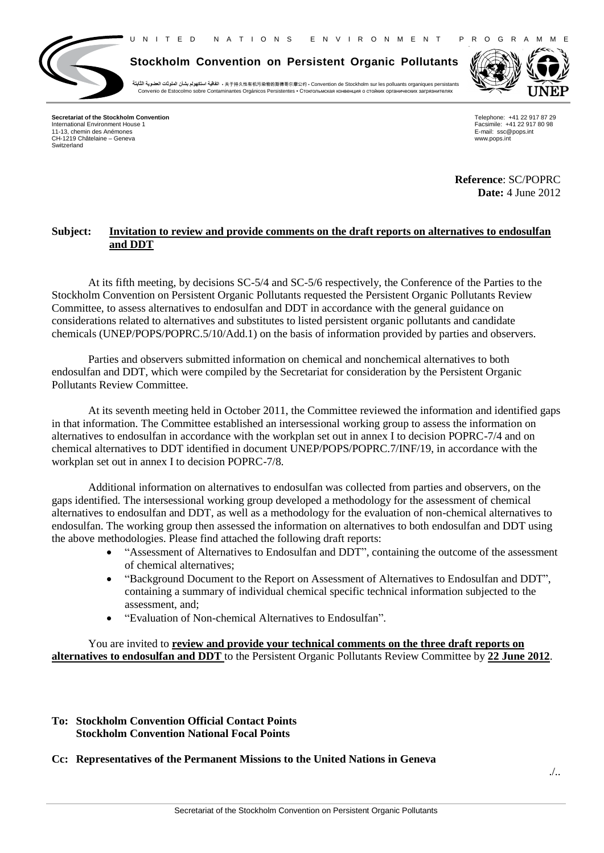U N I T E D N A T I O N S E N V I R O N M E N T P R O G R A M M E



**Stockholm Convention on Persistent Organic Pollutants**

**الثابتة العضوية الملوثات بشأن استكهولم اتفاقية** ▪ 关于持久性有机污染物的斯德哥尔摩公约 ▪ Convention de Stockholm sur les polluants organiques persistants Convenio de Estocolmo sobre Contaminantes Orgánicos Persistentes · Стокгольмская конвенция о стойких органических загрязнителях



**Secretariat of the Stockholm Convention** International Environment House 1 11-13, chemin des Anémones CH-1219 Châtelaine – Geneva Switzerland

Telephone: +41 22 917 87 29 Facsimile: +41 22 917 80 98 E-mail: ssc@pops.int www.pops.int

**Reference**: SC/POPRC **Date:** 4 June 2012

## **Subject: Invitation to review and provide comments on the draft reports on alternatives to endosulfan and DDT**

At its fifth meeting, by decisions SC-5/4 and SC-5/6 respectively, the Conference of the Parties to the Stockholm Convention on Persistent Organic Pollutants requested the Persistent Organic Pollutants Review Committee, to assess alternatives to endosulfan and DDT in accordance with the general guidance on considerations related to alternatives and substitutes to listed persistent organic pollutants and candidate chemicals (UNEP/POPS/POPRC.5/10/Add.1) on the basis of information provided by parties and observers.

Parties and observers submitted information on chemical and nonchemical alternatives to both endosulfan and DDT, which were compiled by the Secretariat for consideration by the Persistent Organic Pollutants Review Committee.

At its seventh meeting held in October 2011, the Committee reviewed the information and identified gaps in that information. The Committee established an intersessional working group to assess the information on alternatives to endosulfan in accordance with the workplan set out in annex I to decision POPRC-7/4 and on chemical alternatives to DDT identified in document UNEP/POPS/POPRC.7/INF/19, in accordance with the workplan set out in annex I to decision POPRC-7/8.

Additional information on alternatives to endosulfan was collected from parties and observers, on the gaps identified. The intersessional working group developed a methodology for the assessment of chemical alternatives to endosulfan and DDT, as well as a methodology for the evaluation of non-chemical alternatives to endosulfan. The working group then assessed the information on alternatives to both endosulfan and DDT using the above methodologies. Please find attached the following draft reports:

- "Assessment of Alternatives to Endosulfan and DDT", containing the outcome of the assessment of chemical alternatives;
- "Background Document to the Report on Assessment of Alternatives to Endosulfan and DDT", containing a summary of individual chemical specific technical information subjected to the assessment, and;
- "Evaluation of Non-chemical Alternatives to Endosulfan".

You are invited to **review and provide your technical comments on the three draft reports on alternatives to endosulfan and DDT** to the Persistent Organic Pollutants Review Committee by **22 June 2012**.

## **To: Stockholm Convention Official Contact Points Stockholm Convention National Focal Points**

## **Cc: Representatives of the Permanent Missions to the United Nations in Geneva**